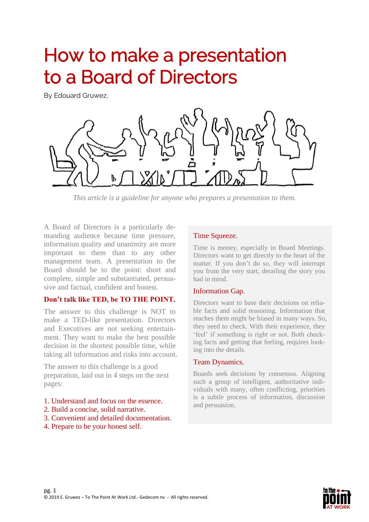# How to make a presentation to a Board of Directors

By Edouard Gruwez,



*This article is a guideline for anyone who prepares a presentation to them.*

A Board of Directors is a particularly demanding audience because time pressure, information quality and unanimity are more important to them than to any other management team. A presentation to the Board should be to the point: short and complete, simple and substantiated, persuasive and factual, confident and honest.

#### **Don't talk like TED, be TO THE POINT.**

The answer to this challenge is NOT to make a TED-like presentation. Directors and Executives are not seeking entertainment. They want to make the best possible decision in the shortest possible time, while taking all information and risks into account.

The answer to this challenge is a good preparation, laid out in 4 steps on the next pages:

- 1. Understand and focus on the essence.
- 2. Build a concise, solid narrative.
- 3. Convenient and detailed documentation.
- 4. Prepare to be your honest self.

#### Time Squeeze.

Time is money, especially in Board Meetings. Directors want to get directly to the heart of the matter. If you don't do so, they will interrupt you from the very start, derailing the story you had in mind.

#### Information Gap.

Directors want to base their decisions on reliable facts and solid reasoning. Information that reaches them might be biased in many ways. So, they need to check. With their experience, they 'feel' if something is right or not. Both checking facts and getting that feeling, requires looking into the details.

#### Team Dynamics.

Boards seek decisions by consensus. Aligning such a group of intelligent, authoritative individuals with many, often conflicting, priorities is a subtle process of information, discussion and persuasion.

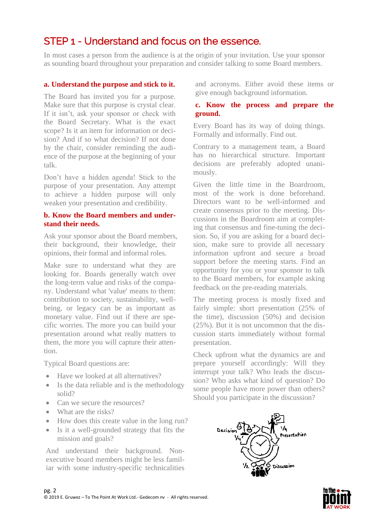### STEP 1 - Understand and focus on the essence.

In most cases a person from the audience is at the origin of your invitation. Use your sponsor as sounding board throughout your preparation and consider talking to some Board members.

#### **a. Understand the purpose and stick to it.**

The Board has invited you for a purpose. Make sure that this purpose is crystal clear. If it isn't, ask your sponsor or check with the Board Secretary. What is the exact scope? Is it an item for information or decision? And if so what decision? If not done by the chair, consider reminding the audience of the purpose at the beginning of your talk.

Don't have a hidden agenda! Stick to the purpose of your presentation. Any attempt to achieve a hidden purpose will only weaken your presentation and credibility.

#### **b. Know the Board members and understand their needs.**

Ask your sponsor about the Board members, their background, their knowledge, their opinions, their formal and informal roles.

Make sure to understand what they are looking for. Boards generally watch over the long-term value and risks of the company. Understand what 'value' means to them: contribution to society, sustainability, wellbeing, or legacy can be as important as monetary value. Find out if there are specific worries. The more you can build your presentation around what really matters to them, the more you will capture their attention.

Typical Board questions are:

- Have we looked at all alternatives?
- Is the data reliable and is the methodology solid?
- Can we secure the resources?
- What are the risks?
- How does this create value in the long run?
- Is it a well-grounded strategy that fits the mission and goals?

And understand their background. Nonexecutive board members might be less familiar with some industry-specific technicalities

and acronyms. Either avoid these items or give enough background information.

#### **c. Know the process and prepare the ground.**

Every Board has its way of doing things. Formally and informally. Find out.

Contrary to a management team, a Board has no hierarchical structure. Important decisions are preferably adopted unanimously.

Given the little time in the Boardroom, most of the work is done beforehand. Directors want to be well-informed and create consensus prior to the meeting. Discussions in the Boardroom aim at completing that consensus and fine-tuning the decision. So, if you are asking for a board decision, make sure to provide all necessary information upfront and secure a broad support before the meeting starts. Find an opportunity for you or your sponsor to talk to the Board members, for example asking feedback on the pre-reading materials.

The meeting process is mostly fixed and fairly simple: short presentation (25% of the time), discussion (50%) and decision (25%). But it is not uncommon that the discussion starts immediately without formal presentation.

Check upfront what the dynamics are and prepare yourself accordingly: Will they interrupt your talk? Who leads the discussion? Who asks what kind of question? Do some people have more power than others? Should you participate in the discussion?



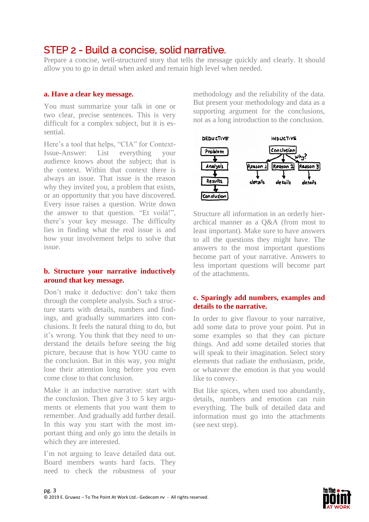### STEP 2 - Build a concise, solid narrative.

Prepare a concise, well-structured story that tells the message quickly and clearly. It should allow you to go in detail when asked and remain high level when needed.

#### **a. Have a clear key message.**

You must summarize your talk in one or two clear, precise sentences. This is very difficult for a complex subject, but it is essential.

Here's a tool that helps, "CIA" for Context-Issue-Answer: List everything your audience knows about the subject; that is the context. Within that context there is always an issue. That issue is the reason why they invited you, a problem that exists, or an opportunity that you have discovered. Every issue raises a question. Write down the answer to that question. "Et voilà!", there's your key message. The difficulty lies in finding what the real issue is and how your involvement helps to solve that issue.

#### **b. Structure your narrative inductively around that key message.**

Don't make it deductive: don't take them through the complete analysis. Such a structure starts with details, numbers and findings, and gradually summarizes into conclusions. It feels the natural thing to do, but it's wrong. You think that they need to understand the details before seeing the big picture, because that is how YOU came to the conclusion. But in this way, you might lose their attention long before you even come close to that conclusion.

Make it an inductive narrative: start with the conclusion. Then give 3 to 5 key arguments or elements that you want them to remember. And gradually add further detail. In this way you start with the most important thing and only go into the details in which they are interested.

I'm not arguing to leave detailed data out. Board members wants hard facts. They need to check the robustness of your methodology and the reliability of the data. But present your methodology and data as a supporting argument for the conclusions, not as a long introduction to the conclusion.



Structure all information in an orderly hierarchical manner as a Q&A (from most to least important). Make sure to have answers to all the questions they might have. The answers to the most important questions become part of your narrative. Answers to less important questions will become part of the attachments.

#### **c. Sparingly add numbers, examples and details to the narrative.**

In order to give flavour to your narrative, add some data to prove your point. Put in some examples so that they can picture things. And add some detailed stories that will speak to their imagination. Select story elements that radiate the enthusiasm, pride, or whatever the emotion is that you would like to convey.

But like spices, when used too abundantly, details, numbers and emotion can ruin everything. The bulk of detailed data and information must go into the attachments (see next step).

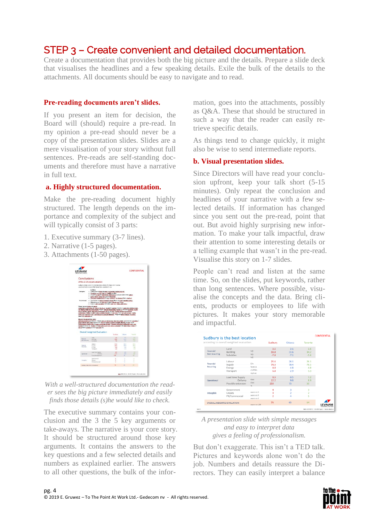### STEP 3 – Create convenient and detailed documentation.

Create a documentation that provides both the big picture and the details. Prepare a slide deck that visualises the headlines and a few speaking details. Exile the bulk of the details to the attachments. All documents should be easy to navigate and to read.

#### **Pre-reading documents aren't slides.**

If you present an item for decision, the Board will (should) require a pre-read. In my opinion a pre-read should never be a copy of the presentation slides. Slides are a mere visualisation of your story without full sentences. Pre-reads are self-standing documents and therefore must have a narrative in full text.

#### **a. Highly structured documentation.**

Make the pre-reading document highly structured. The length depends on the importance and complexity of the subject and will typically consist of 3 parts:

- 1. Executive summary (3-7 lines).
- 2. Narrative (1-5 pages).
- 3. Attachments (1-50 pages).



*With a well-structured documentation the reader sees the big picture immediately and easily finds those details (s)he would like to check.*

The executive summary contains your conclusion and the 3 the 5 key arguments or take-aways. The narrative is your core story. It should be structured around those key arguments. It contains the answers to the key questions and a few selected details and numbers as explained earlier. The answers to all other questions, the bulk of the information, goes into the attachments, possibly as Q&A. These that should be structured in such a way that the reader can easily retrieve specific details.

As things tend to change quickly, it might also be wise to send intermediate reports.

#### **b. Visual presentation slides.**

Since Directors will have read your conclusion upfront, keep your talk short (5-15 minutes). Only repeat the conclusion and headlines of your narrative with a few selected details. If information has changed since you sent out the pre-read, point that out. But avoid highly surprising new information. To make your talk impactful, draw their attention to some interesting details or a telling example that wasn't in the pre-read. Visualise this story on 1-7 slides.

People can't read and listen at the same time. So, on the slides, put keywords, rather than long sentences. Where possible, visualise the concepts and the data. Bring clients, products or employees to life with pictures. It makes your story memorable and impactful.

|                                          | Sudbury is the best location                        |                                        |                            |                            |                            | <b>CONFIDENTIAL</b>                           |
|------------------------------------------|-----------------------------------------------------|----------------------------------------|----------------------------|----------------------------|----------------------------|-----------------------------------------------|
| according to overall weighted evaluation |                                                     |                                        | Sudbury                    | Ottawa                     | Toronto                    |                                               |
| Financial<br>Non recurring               | Land<br>Building<br>Subsidies                       | MS.<br>MŚ<br>MS.                       | 2.5<br>30.8<br>$-7.8$      | 3.1<br>31.6<br>$-7.1$      | 3.5<br>34.2<br>$-5.6$      |                                               |
| Financial<br><b>Recurring</b>            | Labour<br>Supply<br>Energy<br>Transport             | 5Jh<br>% vs EU<br>$c5/8$ Wh<br>KS/unit | 25.6<br>78.5<br>4.8<br>6.8 | 26.1<br>78.4<br>4.8<br>2.9 | 26.1<br>78.1<br>4.8<br>3.3 |                                               |
| Operational                              | Lead time Supply<br>Delivery.<br>Possible extension | days<br>days<br>26                     | 8.5<br>12.2<br>250         | 6.5<br>9.8<br>75           | 7.2<br>8.9<br>50           |                                               |
| Intangible                               | Government<br>Unions<br>PR/Commercial               | score on 5<br>score on 5<br>score on 5 | 4<br>ž                     | 3                          | З<br>5                     |                                               |
|                                          | OVERALL WEIGHTED EVALUATION.<br>score on 100        |                                        | 76                         | 65                         | 64                         | <b><i>INSURTRAL VEHICLES</i></b>              |
|                                          |                                                     |                                        |                            |                            |                            | Rell 2009 (R-11-UNCM Feder) - Final modestion |

*A presentation slide with simple messages and easy to interpret data gives a feeling of professionalism.*

But don't exaggerate. This isn't a TED talk. Pictures and keywords alone won't do the job. Numbers and details reassure the Directors. They can easily interpret a balance

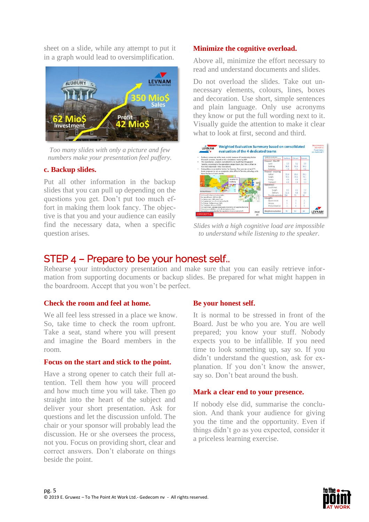sheet on a slide, while any attempt to put it in a graph would lead to oversimplification.



*Too many slides with only a picture and few numbers make your presentation feel puffery.*

#### **c. Backup slides.**

Put all other information in the backup slides that you can pull up depending on the questions you get. Don't put too much effort in making them look fancy. The objective is that you and your audience can easily find the necessary data, when a specific question arises.

#### **Minimize the cognitive overload.**

Above all, minimize the effort necessary to read and understand documents and slides.

Do not overload the slides. Take out unnecessary elements, colours, lines, boxes and decoration. Use short, simple sentences and plain language. Only use acronyms they know or put the full wording next to it. Visually guide the attention to make it clear what to look at first, second and third.



*Slides with a high cognitive load are impossible to understand while listening to the speaker.*

### STEP 4 – Prepare to be your honest self..

Rehearse your introductory presentation and make sure that you can easily retrieve information from supporting documents or backup slides. Be prepared for what might happen in the boardroom. Accept that you won't be perfect.

#### **Check the room and feel at home.**

We all feel less stressed in a place we know. So, take time to check the room upfront. Take a seat, stand where you will present and imagine the Board members in the room.

#### **Focus on the start and stick to the point.**

Have a strong opener to catch their full attention. Tell them how you will proceed and how much time you will take. Then go straight into the heart of the subject and deliver your short presentation. Ask for questions and let the discussion unfold. The chair or your sponsor will probably lead the discussion. He or she oversees the process, not you. Focus on providing short, clear and correct answers. Don't elaborate on things beside the point.

#### **Be your honest self.**

It is normal to be stressed in front of the Board. Just be who you are. You are well prepared; you know your stuff. Nobody expects you to be infallible. If you need time to look something up, say so. If you didn't understand the question, ask for explanation. If you don't know the answer, say so. Don't beat around the bush.

#### **Mark a clear end to your presence.**

If nobody else did, summarise the conclusion. And thank your audience for giving you the time and the opportunity. Even if things didn't go as you expected, consider it a priceless learning exercise.

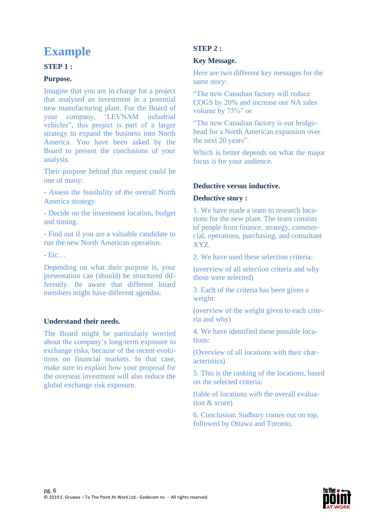## **Example**

#### **STEP 1 :**

#### **Purpose.**

Imagine that you are in charge for a project that analysed an investment in a potential new manufacturing plant. For the Board of your company, 'LEVNAM industrial vehicles", this project is part of a larger strategy to expand the business into North America. You have been asked by the Board to present the conclusions of your analysis.

Their purpose behind this request could be one of many:

- Assess the feasibility of the overall North America strategy.

- Decide on the investment location, budget and timing.

- Find out if you are a valuable candidate to run the new North American operation.

- Etc…

Depending on what their purpose is, your presentation can (should) be structured differently. Be aware that different board members might have different agendas.

#### **Understand their needs.**

The Board might be particularly worried about the company's long-term exposure to exchange risks, because of the recent evolutions on financial markets. In that case, make sure to explain how your proposal for the overseas investment will also reduce the global exchange risk exposure.

#### **STEP 2 :**

#### **Key Message.**

Here are two different key messages for the same story:

"The new Canadian factory will reduce COGS by 20% and increase our NA sales volume by 75%" or

"The new Canadian factory is our bridgehead for a North American expansion over the next 20 years".

Which is better depends on what the major focus is for your audience.

#### **Deductive versus inductive.**

#### **Deductive story :**

1. We have made a team to research locations for the new plant. The team consists of people from finance, strategy, commercial, operations, purchasing, and consultant XYZ.

2. We have used these selection criteria:

(overview of all selection criteria and why those were selected)

3. Each of the criteria has been given a weight:

(overview of the weight given to each criteria and why)

4. We have identified these possible locations:

(Overview of all locations with their characteristics)

5. This is the ranking of the locations, based on the selected criteria:

(table of locations with the overall evaluation & score)

6. Conclusion: Sudbury comes out on top, followed by Ottawa and Toronto.